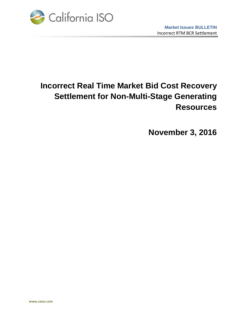

# **Incorrect Real Time Market Bid Cost Recovery Settlement for Non-Multi-Stage Generating Resources**

**November 3, 2016**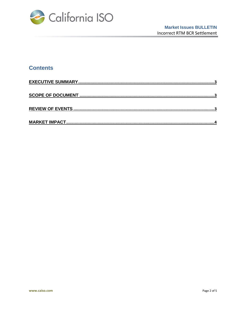

# **Contents**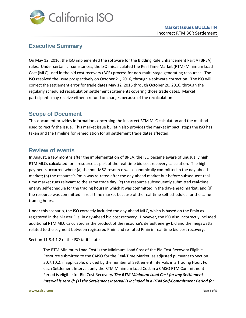

## <span id="page-2-0"></span>**Executive Summary**

On May 12, 2016, the ISO implemented the software for the Bidding Rule Enhancement Part A (BREA) rules. Under certain circumstances, the ISO miscalculated the Real Time Market (RTM) Minimum Load Cost (MLC) used in the bid cost recovery (BCR) process for non-multi-stage generating resources. The ISO resolved the issue prospectively on October 21, 2016, through a software correction. The ISO will correct the settlement error for trade dates May 12, 2016 through October 20, 2016, through the regularly scheduled recalculation settlement statements covering those trade dates. Market participants may receive either a refund or charges because of the recalculation.

#### <span id="page-2-1"></span>**Scope of Document**

This document provides information concerning the incorrect RTM MLC calculation and the method used to rectify the issue. This market issue bulletin also provides the market impact, steps the ISO has taken and the timeline for remediation for all settlement trade dates affected.

## <span id="page-2-2"></span>**Review of events**

In August, a few months after the implementation of BREA, the ISO became aware of unusually high RTM MLCs calculated for a resource as part of the real-time bid cost recovery calculation. The high payments occurred when: (a) the non-MSG resource was economically committed in the day-ahead market; (b) the resource's Pmin was re-rated after the day-ahead market but before subsequent realtime market runs relevant to the same trade day; (c) the resource subsequently submitted real-time energy self-schedule for the trading hours in which it was committed in the day-ahead market; and (d) the resource was committed in real-time market because of the real-time self-schedules for the same trading hours.

Under this scenario, the ISO correctly included the day-ahead MLC, which is based on the Pmin as registered in the Master File, in day-ahead bid cost recovery. However, the ISO also incorrectly included additional RTM MLC calculated as the product of the resource's default energy bid and the megawatts related to the segment between registered Pmin and re-rated Pmin in real-time bid cost recovery.

Section 11.8.4.1.2 of the ISO tariff states:

The RTM Minimum Load Cost is the Minimum Load Cost of the Bid Cost Recovery Eligible Resource submitted to the CAISO for the Real-Time Market, as adjusted pursuant to Section 30.7.10.2, if applicable, divided by the number of Settlement Intervals in a Trading Hour. For each Settlement Interval, only the RTM Minimum Load Cost in a CAISO RTM Commitment Period is eligible for Bid Cost Recovery*. The RTM Minimum Load Cost for any Settlement Interval is zero if: (1) the Settlement Interval is included in a RTM Self-Commitment Period for*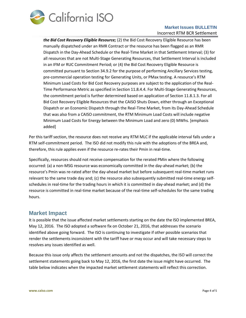

#### **Market Issues BULLETIN** Incorrect RTM BCR Settlement

*the Bid Cost Recovery Eligible Resource;* (2) the Bid Cost Recovery Eligible Resource has been manually dispatched under an RMR Contract or the resource has been flagged as an RMR Dispatch in the Day-Ahead Schedule or the Real-Time Market in that Settlement Interval; (3) for all resources that are not Multi-Stage Generating Resources, that Settlement Interval is included in an IFM or RUC Commitment Period; or (4) the Bid Cost Recovery Eligible Resource is committed pursuant to Section 34.9.2 for the purpose of performing Ancillary Services testing, pre-commercial operation testing for Generating Units, or PMax testing. A resource's RTM Minimum Load Costs for Bid Cost Recovery purposes are subject to the application of the Real-Time Performance Metric as specified in Section 11.8.4.4. For Multi-Stage Generating Resources, the commitment period is further determined based on application of Section 11.8.1.3. For all Bid Cost Recovery Eligible Resources that the CAISO Shuts Down, either through an Exceptional Dispatch or an Economic Dispatch through the Real-Time Market, from its Day-Ahead Schedule that was also from a CAISO commitment, the RTM Minimum Load Costs will include negative Minimum Load Costs for Energy between the Minimum Load and zero (0) MWhs. [emphasis added]

Per this tariff section, the resource does not receive any RTM MLC if the applicable interval falls under a RTM self-commitment period. The ISO did not modify this rule with the adoptions of the BREA and, therefore, this rule applies even if the resource re-rates their Pmin in real-time.

Specifically, resources should not receive compensation for the rerated PMin where the following occurred: (a) a non-MSG resource was economically committed in the day-ahead market; (b) the resource's Pmin was re-rated after the day-ahead market but before subsequent real-time market runs relevant to the same trade day and; (c) the resource also subsequently submitted real-time energy selfschedules in real-time for the trading hours in which it is committed in day-ahead market; and (d) the resource is committed in real-time market because of the real-time self-schedules for the same trading hours.

#### <span id="page-3-0"></span>**Market Impact**

It is possible that the issue affected market settlements starting on the date the ISO implemented BREA, May 12, 2016. The ISO adopted a software fix on October 21, 2016, that addresses the scenario identified above going forward. The ISO is continuing to investigate if other possible scenarios that render the settlements inconsistent with the tariff have or may occur and will take necessary steps to resolves any issues identified as well.

Because this issue only affects the settlement amounts and not the dispatches, the ISO will correct the settlement statements going back to May 12, 2016, the first date the issue might have occurred. The table below indicates when the impacted market settlement statements will reflect this correction.